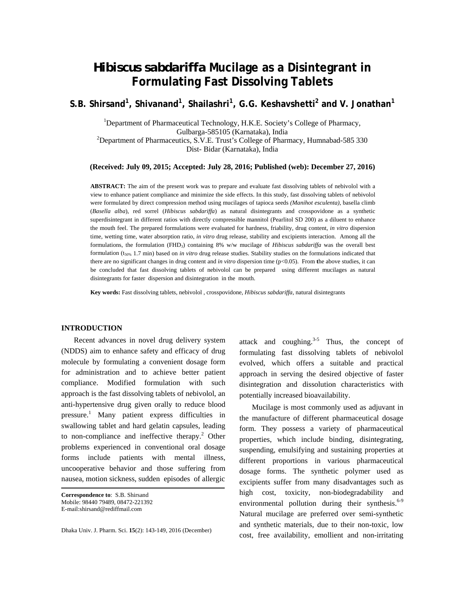# *Hibiscus sabdariffa* **Mucilage as a Disintegrant in Formulating Fast Dissolving Tablets**

<code>S.B. Shirsand<sup>1</sup>, Shivanand<sup>1</sup>, Shailashri<sup>1</sup>, G.G. Keshavshetti<sup>2</sup> and V. Jonathan<sup>1</sup></code>

<sup>1</sup>Department of Pharmaceutical Technology, H.K.E. Society's College of Pharmacy, Gulbarga-585105 (Karnataka), India 2 Department of Pharmaceutics, S.V.E. Trust's College of Pharmacy, Humnabad-585 330 Dist- Bidar (Karnataka), India

**(Received: July 09, 2015; Accepted: July 28, 2016; Published (web): December 27, 2016)** 

**ABSTRACT:** The aim of the present work was to prepare and evaluate fast dissolving tablets of nebivolol with a view to enhance patient compliance and minimize the side effects. In this study, fast dissolving tablets of nebivolol were formulated by direct compression method using mucilages of tapioca seeds *(Manihot esculenta)*, basella climb (*Basella alba*), red sorrel (*Hibiscus sabdariffa*) as natural disintegrants and crosspovidone as a synthetic superdisintegrant in different ratios with directly compressible mannitol (Pearlitol SD 200) as a diluent to enhance the mouth feel. The prepared formulations were evaluated for hardness, friability, drug content, *in vitro* dispersion time, wetting time, water absorption ratio, *in vitro* drug release, stability and excipients interaction. Among all the formulations, the formulation (FHD3) containing 8% w/w mucilage of *Hibiscus sabdariffa* was the overall best formulation (t50% 1.7 min) based on *in vitro* drug release studies. Stability studies on the formulations indicated that there are no significant changes in drug content and *in vitro* dispersion time (p<0.05). From **t**he above studies, it can be concluded that fast dissolving tablets of nebivolol can be prepared using different mucilages as natural disintegrants for faster dispersion and disintegration in the mouth.

**Key words:** Fast dissolving tablets, nebivolol , crosspovidone, *Hibiscus sabdariffa*, natural disintegrants

# **INTRODUCTION**

 Recent advances in novel drug delivery system (NDDS) aim to enhance safety and efficacy of drug molecule by formulating a convenient dosage form for administration and to achieve better patient compliance. Modified formulation with such approach is the fast dissolving tablets of nebivolol, an anti-hypertensive drug given orally to reduce blood pressure.<sup>1</sup> Many patient express difficulties in swallowing tablet and hard gelatin capsules, leading to non-compliance and ineffective therapy.<sup>2</sup> Other problems experienced in conventional oral dosage forms include patients with mental illness, uncooperative behavior and those suffering from nausea, motion sickness, sudden episodes of allergic

**Correspondence to**: S.B. Shirsand Mobile: 98440 79489, 08472-221392 E-mail:shirsand@rediffmail.com

Dhaka Univ. J. Pharm. Sci. **15**(2): 143-149, 2016 (December)

attack and coughing. $3-5$  Thus, the concept of formulating fast dissolving tablets of nebivolol evolved, which offers a suitable and practical approach in serving the desired objective of faster disintegration and dissolution characteristics with potentially increased bioavailability.

 Mucilage is most commonly used as adjuvant in the manufacture of different pharmaceutical dosage form. They possess a variety of pharmaceutical properties, which include binding, disintegrating, suspending, emulsifying and sustaining properties at different proportions in various pharmaceutical dosage forms. The synthetic polymer used as excipients suffer from many disadvantages such as high cost, toxicity, non-biodegradability and environmental pollution during their synthesis. $6-9$ Natural mucilage are preferred over semi-synthetic and synthetic materials, due to their non-toxic, low cost, free availability, emollient and non-irritating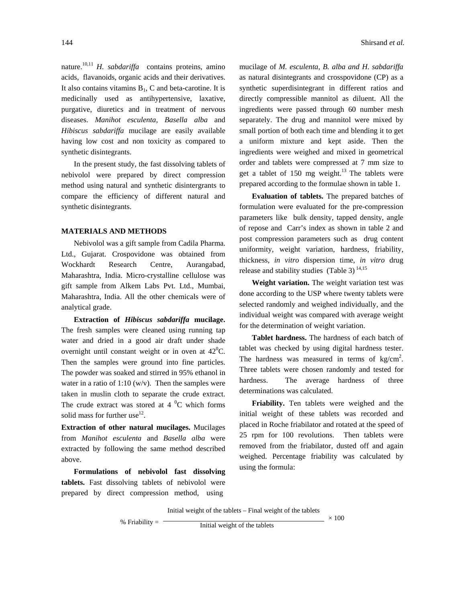nature.<sup>10,11</sup> *H. sabdariffa* contains proteins, amino acids, flavanoids, organic acids and their derivatives. It also contains vitamins  $B_1$ , C and beta-carotine. It is medicinally used as antihypertensive, laxative, purgative, diuretics and in treatment of nervous diseases. *Manihot esculenta*, *Basella alba* and *Hibiscus sabdariffa* mucilage are easily available having low cost and non toxicity as compared to synthetic disintegrants.

 In the present study, the fast dissolving tablets of nebivolol were prepared by direct compression method using natural and synthetic disintergrants to compare the efficiency of different natural and synthetic disintegrants.

# **MATERIALS AND METHODS**

 Nebivolol was a gift sample from Cadila Pharma. Ltd., Gujarat. Crospovidone was obtained from Wockhardt Research Centre, Aurangabad, Maharashtra, India. Micro-crystalline cellulose was gift sample from Alkem Labs Pvt. Ltd., Mumbai, Maharashtra, India. All the other chemicals were of analytical grade.

 **Extraction of** *Hibiscus sabdariffa* **mucilage.**  The fresh samples were cleaned using running tap water and dried in a good air draft under shade overnight until constant weight or in oven at  $42^{\circ}$ C. Then the samples were ground into fine particles. The powder was soaked and stirred in 95% ethanol in water in a ratio of 1:10 (w/v). Then the samples were taken in muslin cloth to separate the crude extract. The crude extract was stored at  $4 \degree C$  which forms solid mass for further use<sup>12</sup>.

**Extraction of other natural mucilages.** Mucilages from *Manihot esculenta* and *Basella alba* were extracted by following the same method described above.

 **Formulations of nebivolol fast dissolving tablets.** Fast dissolving tablets of nebivolol were prepared by direct compression method, using

mucilage of *M. esculenta, B. alba and H. sabdariffa*  as natural disintegrants and crosspovidone (CP) as a synthetic superdisintegrant in different ratios and directly compressible mannitol as diluent. All the ingredients were passed through 60 number mesh separately. The drug and mannitol were mixed by small portion of both each time and blending it to get a uniform mixture and kept aside. Then the ingredients were weighed and mixed in geometrical order and tablets were compressed at 7 mm size to

 **Evaluation of tablets.** The prepared batches of formulation were evaluated for the pre-compression parameters like bulk density, tapped density, angle of repose and Carr's index as shown in table 2 and post compression parameters such as drug content uniformity, weight variation, hardness, friability, thickness, *in vitro* dispersion time, *in vitro* drug release and stability studies (Table 3) $^{14,15}$ 

get a tablet of  $150$  mg weight.<sup>13</sup> The tablets were prepared according to the formulae shown in table 1.

 **Weight variation.** The weight variation test was done according to the USP where twenty tablets were selected randomly and weighed individually, and the individual weight was compared with average weight for the determination of weight variation.

 **Tablet hardness.** The hardness of each batch of tablet was checked by using digital hardness tester. The hardness was measured in terms of  $\text{kg/cm}^2$ . Three tablets were chosen randomly and tested for hardness. The average hardness of three determinations was calculated.

 **Friability.** Ten tablets were weighed and the initial weight of these tablets was recorded and placed in Roche friabilator and rotated at the speed of 25 rpm for 100 revolutions. Then tablets were removed from the friabilator, dusted off and again weighed. Percentage friability was calculated by using the formula:

Initial weight of the tablets – Final weight of the tablets

% Friability  $=$   $\frac{1}{\frac{1}{\frac{1}{\frac{1}{\sqrt{1}}}}}{\frac{1}{\sqrt{1-\frac{1}{\sqrt{1}}}}}}$ 

 $\overline{\phantom{0}}$  × 100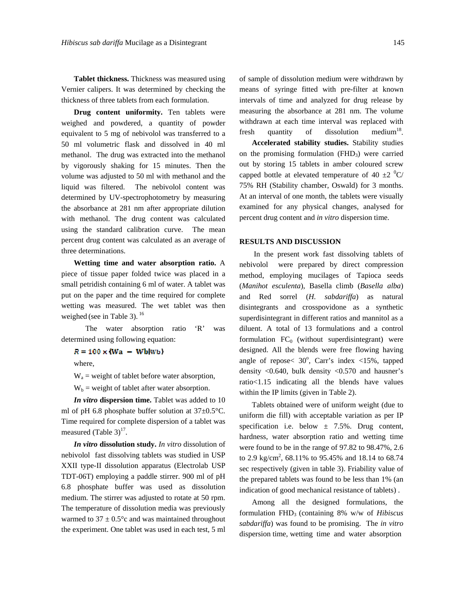**Tablet thickness.** Thickness was measured using Vernier calipers. It was determined by checking the thickness of three tablets from each formulation.

**Drug content uniformity.** Ten tablets were weighed and powdered, a quantity of powder equivalent to 5 mg of nebivolol was transferred to a 50 ml volumetric flask and dissolved in 40 ml methanol. The drug was extracted into the methanol by vigorously shaking for 15 minutes. Then the volume was adjusted to 50 ml with methanol and the liquid was filtered. The nebivolol content was determined by UV-spectrophotometry by measuring the absorbance at 281 nm after appropriate dilution with methanol. The drug content was calculated using the standard calibration curve. The mean percent drug content was calculated as an average of three determinations.

 **Wetting time and water absorption ratio.** A piece of tissue paper folded twice was placed in a small petridish containing 6 ml of water. A tablet was put on the paper and the time required for complete wetting was measured. The wet tablet was then weighed (see in Table 3).  $16$ 

 The water absorption ratio 'R' was determined using following equation:

 $R = 100 \times (Wa - Wb(wb))$ 

where,

 $W_a$  = weight of tablet before water absorption,

 $W_b$  = weight of tablet after water absorption.

 *In vitro* **dispersion time.** Tablet was added to 10 ml of pH 6.8 phosphate buffer solution at 37±0.5°C. Time required for complete dispersion of a tablet was measured (Table  $3)^{17}$ .

 *In vitro* **dissolution study.** *In vitro* dissolution of nebivolol fast dissolving tablets was studied in USP XXII type-II dissolution apparatus (Electrolab USP TDT-06T) employing a paddle stirrer. 900 ml of pH 6.8 phosphate buffer was used as dissolution medium. The stirrer was adjusted to rotate at 50 rpm. The temperature of dissolution media was previously warmed to  $37 \pm 0.5^{\circ}$ c and was maintained throughout the experiment. One tablet was used in each test, 5 ml of sample of dissolution medium were withdrawn by means of syringe fitted with pre-filter at known intervals of time and analyzed for drug release by measuring the absorbance at 281 nm. The volume withdrawn at each time interval was replaced with fresh quantity of dissolution medium<sup>18</sup>.

 **Accelerated stability studies.** Stability studies on the promising formulation  $(FHD_3)$  were carried out by storing 15 tablets in amber coloured screw capped bottle at elevated temperature of 40  $\pm 2$  <sup>0</sup>C/ 75% RH (Stability chamber, Oswald) for 3 months. At an interval of one month, the tablets were visually examined for any physical changes, analysed for percent drug content and *in vitro* dispersion time.

#### **RESULTS AND DISCUSSION**

 In the present work fast dissolving tablets of nebivolol were prepared by direct compression method, employing mucilages of Tapioca seeds (*Manihot esculenta*), Basella climb (*Basella alba*) and Red sorrel (*H. sabdariffa*) as natural disintegrants and crosspovidone as a synthetic superdisintegrant in different ratios and mannitol as a diluent. A total of 13 formulations and a control formulation  $FC_0$  (without superdisintegrant) were designed. All the blends were free flowing having angle of repose<  $30^{\circ}$ , Carr's index <15%, tapped density <0.640, bulk density <0.570 and hausner's ratio<1.15 indicating all the blends have values within the IP limits (given in Table 2).

 Tablets obtained were of uniform weight (due to uniform die fill) with acceptable variation as per IP specification i.e. below  $\pm$  7.5%. Drug content, hardness, water absorption ratio and wetting time were found to be in the range of 97.82 to 98.47%, 2.6 to 2.9 kg/cm<sup>2</sup>, 68.11% to 95.45% and 18.14 to 68.74 sec respectively (given in table 3). Friability value of the prepared tablets was found to be less than 1% (an indication of good mechanical resistance of tablets) .

 Among all the designed formulations, the formulation FHD3 (containing 8% w/w of *Hibiscus sabdariffa*) was found to be promising. The *in vitro*  dispersion time, wetting time and water absorption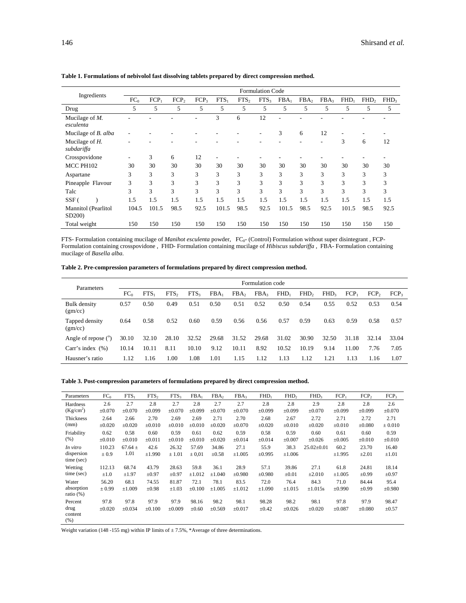| Ingredients                                | <b>Formulation Code</b> |                  |                  |                  |                  |                  |                  |                  |                  |                  |                  |                  |                  |
|--------------------------------------------|-------------------------|------------------|------------------|------------------|------------------|------------------|------------------|------------------|------------------|------------------|------------------|------------------|------------------|
|                                            | FC <sub>0</sub>         | FCP <sub>1</sub> | FCP <sub>2</sub> | FCP <sub>3</sub> | FTS <sub>1</sub> | FTS <sub>2</sub> | FTS <sub>3</sub> | FBA <sub>1</sub> | FBA <sub>2</sub> | FBA <sub>3</sub> | FHD <sub>1</sub> | FHD <sub>2</sub> | FHD <sub>3</sub> |
| Drug                                       | 5                       | 5                | 5                | 5                | 5                | 5                | 5                | 5                | 5                | 5                | 5                | 5                | 5                |
| Mucilage of $M$ .<br>esculenta             |                         |                  |                  |                  | 3                | 6                | 12               |                  |                  |                  |                  |                  |                  |
| Mucilage of <i>B. alba</i>                 |                         |                  |                  |                  |                  |                  |                  | 3                | 6                | 12               | ۰                |                  |                  |
| Mucilage of $H$ .<br>subdariffa            | -                       |                  |                  |                  |                  |                  |                  |                  |                  | ٠                | 3                | 6                | 12               |
| Crosspovidone                              | -                       | 3                | 6                | 12               | ٠                |                  |                  |                  |                  |                  |                  |                  |                  |
| MCC PH102                                  | 30                      | 30               | 30               | 30               | 30               | 30               | 30               | 30               | 30               | 30               | 30               | 30               | 30               |
| Aspartane                                  | 3                       | 3                | 3                | 3                | 3                | 3                | 3                | 3                | 3                | 3                | 3                | 3                | 3                |
| Pineapple Flavour                          | 3                       | 3                | 3                | 3                | 3                | 3                | 3                | 3                | 3                | 3                | 3                | 3                | 3                |
| Talc                                       | 3                       | 3                | 3                | 3                | 3                | 3                | 3                | 3                | 3                | 3                | 3                | 3                | 3                |
| $SSF$ (                                    | 1.5                     | 1.5              | 1.5              | 1.5              | 1.5              | 1.5              | 1.5              | 1.5              | 1.5              | 1.5              | 1.5              | 1.5              | 1.5              |
| Mannitol (Pearlitol<br>SD <sub>200</sub> ) | 104.5                   | 101.5            | 98.5             | 92.5             | 101.5            | 98.5             | 92.5             | 101.5            | 98.5             | 92.5             | 101.5            | 98.5             | 92.5             |
| Total weight                               | 150                     | 150              | 150              | 150              | 150              | 150              | 150              | 150              | 150              | 150              | 150              | 150              | 150              |

#### **Table 1. Formulations of nebivolol fast dissolving tablets prepared by direct compression method.**

FTS- Formulation containing mucilage of *Manihot esculenta* powder, FC<sub>0</sub>- (Control) Formulation without super disintegrant , FCP-Formulation containing crosspovidone , FHD- Formulation containing mucilage of *Hibiscus subdariffa* , FBA- Formulation containing mucilage of *Basella alba.* 

**Table 2. Pre-compression parameters of formulations prepared by direct compression method.**

| Parameters                | Formulation code |                  |                  |                  |                  |                  |                  |                  |                  |                  |         |                  |                  |
|---------------------------|------------------|------------------|------------------|------------------|------------------|------------------|------------------|------------------|------------------|------------------|---------|------------------|------------------|
|                           | FC <sub>0</sub>  | FTS <sub>1</sub> | FTS <sub>2</sub> | FTS <sub>3</sub> | FBA <sub>1</sub> | FBA <sub>2</sub> | FBA <sub>3</sub> | FHD <sub>1</sub> | FHD <sub>2</sub> | FHD <sub>3</sub> | $FCP_1$ | FCP <sub>2</sub> | FCP <sub>3</sub> |
| Bulk density<br>(gm/cc)   | 0.57             | 0.50             | 0.49             | 0.51             | 0.50             | 0.51             | 0.52             | 0.50             | 0.54             | 0.55             | 0.52    | 0.53             | 0.54             |
| Tapped density<br>(gm/cc) | 0.64             | 0.58             | 0.52             | 0.60             | 0.59             | 0.56             | 0.56             | 0.57             | 0.59             | 0.63             | 0.59    | 0.58             | 0.57             |
| Angle of repose $(°)$     | 30.10            | 32.10            | 28.10            | 32.52            | 29.68            | 31.52            | 29.68            | 31.02            | 30.90            | 32.50            | 31.18   | 32.14            | 33.04            |
| Carr's index $(% )$       | 10.14            | 10.11            | 8.11             | 10.10            | 9.12             | 10.11            | 8.92             | 10.52            | 10.19            | 9.14             | 11.00   | 7.76             | 7.05             |
| Hausner's ratio           | 1.12             | 1.16             | 1.00             | 1.08             | 1.01             | 1.15             | 1.12             | 1.13             | 1.12             | 1.21             | 1.13    | 1.16             | 1.07             |

# **Table 3. Post-compression parameters of formulations prepared by direct compression method.**

| Parameters                 | FC <sub>0</sub> | FTS <sub>1</sub> | FTS <sub>2</sub> | FTS <sub>3</sub> | FBA <sub>1</sub> | FBA <sub>2</sub> | FBA3        | FHD <sub>1</sub> | FHD <sub>2</sub> | FHD <sub>3</sub> | $FCP_1$     | FCP <sub>2</sub> | FCP <sub>3</sub> |
|----------------------------|-----------------|------------------|------------------|------------------|------------------|------------------|-------------|------------------|------------------|------------------|-------------|------------------|------------------|
| Hardness                   | 2.6             | 2.7              | 2.8              | 2.7              | 2.8              | 2.7              | 2.7         | 2.8              | 2.8              | 2.9              | 2.8         | 2.8              | 2.6              |
| (Kg/cm <sup>2</sup> )      | $\pm 0.070$     | $\pm 0.070$      | $\pm 0.099$      | ±0.070           | ±0.099           | $\pm 0.070$      | $\pm 0.070$ | $\pm 0.099$      | $\pm 0.099$      | $\pm 0.070$      | ±0.099      | $\pm 0.099$      | $\pm 0.070$      |
| Thickness                  | 2.64            | 2.66             | 2.70             | 2.69             | 2.69             | 2.71             | 2.70        | 2.68             | 2.67             | 2.72             | 2.71        | 2.72             | 2.71             |
| (mm)                       | $\pm 0.020$     | ±0.020           | $\pm 0.010$      | $\pm 0.010$      | $\pm 0.010$      | ±0.020           | $\pm 0.070$ | $\pm 0.020$      | $\pm 0.010$      | $\pm 0.020$      | $\pm 0.010$ | $\pm 0.080$      | $\pm 0.010$      |
| Friability                 | 0.62            | 0.58             | 0.60             | 0.59             | 0.61             | 0.62             | 0.59        | 0.58             | 0.59             | 0.60             | 0.61        | 0.60             | 0.59             |
| (% )                       | $\pm 0.010$     | $\pm 0.010$      | $\pm 0.011$      | $\pm 0.010$      | $\pm 0.010$      | $\pm 0.020$      | $\pm 0.014$ | $\pm 0.014$      | $\pm 0.007$      | $\pm 0.026$      | $\pm 0.005$ | $\pm 0.010$      | $\pm 0.010$      |
| In vitro                   | 110.23          | $67.64 \pm$      | 42.6             | 26.32            | 57.69            | 34.86            | 27.1        | 55.9             | 38.3             | $25.02 \pm 0.01$ | 60.2        | 23.70            | 16.40            |
| dispersion<br>time (sec)   | $\pm 0.9$       | 1.01             | ±1.990           | ± 1.01           | $\pm 0.01$       | $\pm 0.58$       | $\pm 1.005$ | ±0.995           | $\pm 1.006$      |                  | ±1.995      | $\pm 2.01$       | $\pm 1.01$       |
| Wetting                    | 112.13          | 68.74            | 43.79            | 28.63            | 59.8             | 36.1             | 28.9        | 57.1             | 39.86            | 27.1             | 61.8        | 24.81            | 18.14            |
| time (sec)                 | $\pm 1.0$       | $\pm 1.97$       | $\pm 0.97$       | $\pm 0.97$       | $\pm 1.012$      | ±1.040           | ±0.980      | ±0.980           | $\pm 0.01$       | $\pm 2.010$      | ±1.005      | $\pm 0.99$       | $\pm 0.97$       |
| Water                      | 56.20           | 68.1             | 74.55            | 81.87            | 72.1             | 78.1             | 83.5        | 72.0             | 76.4             | 84.3             | 71.0        | 84.44            | 95.4             |
| absorption<br>ratio $(\%)$ | $\pm 0.99$      | $\pm 1.009$      | $\pm 0.98$       | $\pm 1.03$       | $\pm 0.100$      | ±1.005           | $\pm 1.012$ | $\pm 1.090$      | ±1.015           | $\pm 1.015s$     | $\pm 0.990$ | $\pm 0.99$       | $\pm 0.980$      |
| Percent                    | 97.8            | 97.8             | 97.9             | 97.9             | 98.16            | 98.2             | 98.1        | 98.28            | 98.2             | 98.1             | 97.8        | 97.9             | 98.47            |
| drug<br>content<br>(% )    | $\pm 0.020$     | ±0.034           | $\pm 0.100$      | ±0.009           | $\pm 0.60$       | ±0.569           | $\pm 0.017$ | $\pm 0.42$       | $\pm 0.026$      | $\pm 0.020$      | $\pm 0.087$ | $\pm 0.080$      | $\pm 0.57$       |

Weight variation (148 -155 mg) within IP limits of  $\pm 7.5\%$ , \*Average of three determinations.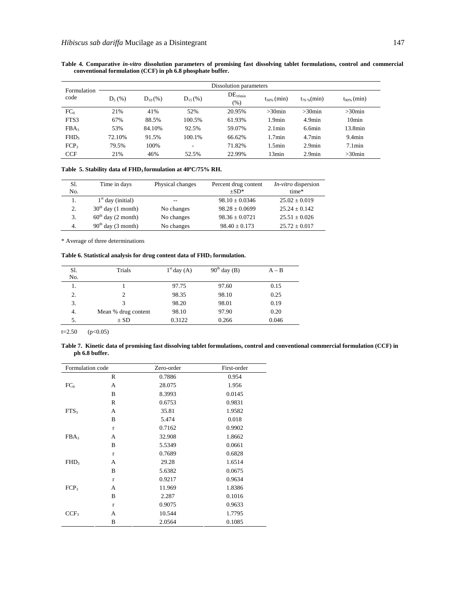| Formulation      | Dissolution parameters |              |              |                             |                  |                  |                   |  |  |  |
|------------------|------------------------|--------------|--------------|-----------------------------|------------------|------------------|-------------------|--|--|--|
| code             | $D_5$ (%)              | $D_{10}$ (%) | $D_{15}$ (%) | DE <sub>10min</sub><br>(% ) | $t_{50\%}$ (min) | $t_{70\%}$ (min) | $t_{90\%}$ (min)  |  |  |  |
| $FC_0$           | 21%                    | 41%          | 52%          | 20.95%                      | $>30$ min        | $>30$ min        | $>30$ min         |  |  |  |
| FTS3             | 67%                    | 88.5%        | 100.5%       | 61.93%                      | 1.9min           | $4.9$ min        | 10 <sub>min</sub> |  |  |  |
| FBA <sub>3</sub> | 53%                    | 84.10%       | 92.5%        | 59.07%                      | $2.1$ min        | $6.6$ min        | 13.8min           |  |  |  |
| FHD <sub>3</sub> | 72.10%                 | 91.5%        | 100.1%       | 66.62%                      | 1.7min           | 4.7min           | $9.4$ min         |  |  |  |
| FCP <sub>3</sub> | 79.5%                  | 100%         | ۰            | 71.82%                      | 1.5min           | $2.9$ min        | $7.1$ min         |  |  |  |
| <b>CCF</b>       | 21%                    | 46%          | 52.5%        | 22.99%                      | 13min            | $2.9$ min        | $>30$ min         |  |  |  |

**Table 4. Comparative** *in-vitro* **dissolution parameters of promising fast dissolving tablet formulations, control and commercial conventional formulation (CCF) in ph 6.8 phosphate buffer.** 

Table 5. Stability data of FHD<sub>3</sub> formulation at 40°C/75% RH.

| S1.<br>No. | Time in days         | Physical changes | Percent drug content<br>$+SD*$ | <i>In-vitro</i> dispersion<br>time* |
|------------|----------------------|------------------|--------------------------------|-------------------------------------|
| 1.         | $1st$ day (initial)  |                  | $98.10 \pm 0.0346$             | $25.02 \pm 0.019$                   |
| 2.         | $30th$ day (1 month) | No changes       | $98.28 + 0.0699$               | $25.24 + 0.142$                     |
| 3.         | $60th$ day (2 month) | No changes       | $98.36 + 0.0721$               | $25.51 \pm 0.026$                   |
| -4.        | $90th$ day (3 month) | No changes       | $98.40 \pm 0.173$              | $25.72 \pm 0.017$                   |

\* Average of three determinations

Table 6. Statistical analysis for drug content data of FHD<sub>3</sub> formulation.

| Sl.<br>No. | Trials              | $1st$ day $(A)$ | $90^{\text{th}}$ day (B) | $A - B$ |
|------------|---------------------|-----------------|--------------------------|---------|
| 1.         |                     | 97.75           | 97.60                    | 0.15    |
| 2.         | 2                   | 98.35           | 98.10                    | 0.25    |
| 3.         | 3                   | 98.20           | 98.01                    | 0.19    |
| 4.         | Mean % drug content | 98.10           | 97.90                    | 0.20    |
| 5.         | $\pm$ SD            | 0.3122          | 0.266                    | 0.046   |

 $t=2.50$  (p<0.05)

**Table 7. Kinetic data of promising fast dissolving tablet formulations, control and conventional commercial formulation (CCF) in ph 6.8 buffer.** 

| Formulation code |              | Zero-order | First-order |
|------------------|--------------|------------|-------------|
|                  | R            | 0.7886     | 0.954       |
| FC <sub>0</sub>  | A            | 28.075     | 1.956       |
|                  | B            | 8.3993     | 0.0145      |
|                  | R            | 0.6753     | 0.9831      |
| FTS <sub>3</sub> | A            | 35.81      | 1.9582      |
|                  | B            | 5.474      | 0.018       |
|                  | $\mathbf{r}$ | 0.7162     | 0.9902      |
| FBA <sub>3</sub> | A            | 32.908     | 1.8662      |
|                  | B            | 5.5349     | 0.0661      |
|                  | $\mathbf{r}$ | 0.7689     | 0.6828      |
| FHD <sub>3</sub> | A            | 29.28      | 1.6514      |
|                  | B            | 5.6382     | 0.0675      |
|                  | $\mathbf{r}$ | 0.9217     | 0.9634      |
| FCP <sub>3</sub> | A            | 11.969     | 1.8386      |
|                  | B            | 2.287      | 0.1016      |
|                  | $\mathbf{r}$ | 0.9075     | 0.9633      |
| CCF <sub>3</sub> | A            | 10.544     | 1.7795      |
|                  | B            | 2.0564     | 0.1085      |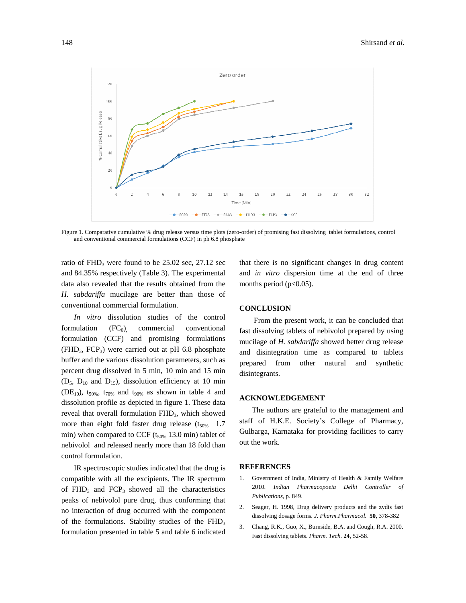

Figure 1. Comparative cumulative % drug release versus time plots (zero-order) of promising fast dissolving tablet formulations, control and conventional commercial formulations (CCF) in ph 6.8 phosphate

ratio of  $FHD<sub>3</sub>$  were found to be 25.02 sec, 27.12 sec and 84.35% respectively (Table 3). The experimental data also revealed that the results obtained from the *H. sabdariffa* mucilage are better than those of conventional commercial formulation.

 *In vitro* dissolution studies of the control formulation  $(FC<sub>0</sub>)$  commercial conventional formulation (CCF) and promising formulations  $(FHD<sub>3</sub>, FCP<sub>3</sub>)$  were carried out at pH 6.8 phosphate buffer and the various dissolution parameters, such as percent drug dissolved in 5 min, 10 min and 15 min  $(D_5, D_{10}$  and  $D_{15}$ ), dissolution efficiency at 10 min (DE<sub>10</sub>),  $t_{50\%}$ ,  $t_{70\%}$  and  $t_{90\%}$  as shown in table 4 and dissolution profile as depicted in figure 1. These data reveal that overall formulation FHD<sub>3</sub>, which showed more than eight fold faster drug release  $(t_{50\%}$  1.7 min) when compared to CCF  $(t_{50\%}$  13.0 min) tablet of nebivolol and released nearly more than 18 fold than control formulation.

 IR spectroscopic studies indicated that the drug is compatible with all the excipients. The IR spectrum of  $FHD<sub>3</sub>$  and  $FCP<sub>3</sub>$  showed all the characteristics peaks of nebivolol pure drug, thus conforming that no interaction of drug occurred with the component of the formulations. Stability studies of the  $FHD<sub>3</sub>$ formulation presented in table 5 and table 6 indicated that there is no significant changes in drug content and *in vitro* dispersion time at the end of three months period ( $p<0.05$ ).

## **CONCLUSION**

 From the present work, it can be concluded that fast dissolving tablets of nebivolol prepared by using mucilage of *H. sabdariffa* showed better drug release and disintegration time as compared to tablets prepared from other natural and synthetic disintegrants.

# **ACKNOWLEDGEMENT**

 The authors are grateful to the management and staff of H.K.E. Society's College of Pharmacy, Gulbarga, Karnataka for providing facilities to carry out the work.

## **REFERENCES**

- 1. Government of India, Ministry of Health & Family Welfare 2010. *Indian Pharmacopoeia Delhi Controller of Publications,* p. 849.
- 2. Seager, H. 1998, Drug delivery products and the zydis fast dissolving dosage forms. *J. Pharm.Pharmacol.* **50**, 378-382
- 3. Chang, R.K., Guo, X., Burnside, B.A. and Cough, R.A. 2000. Fast dissolving tablets. *Pharm. Tech*. **24**, 52-58.